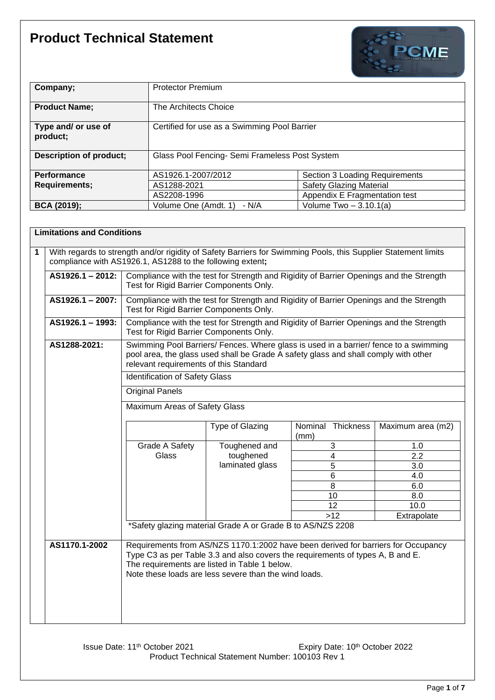

| Company;                        | <b>Protector Premium</b>                       |                                |
|---------------------------------|------------------------------------------------|--------------------------------|
| <b>Product Name;</b>            | The Architects Choice                          |                                |
| Type and/ or use of<br>product; | Certified for use as a Swimming Pool Barrier   |                                |
| <b>Description of product;</b>  | Glass Pool Fencing- Semi Frameless Post System |                                |
| <b>Performance</b>              | AS1926.1-2007/2012                             | Section 3 Loading Requirements |
| <b>Requirements;</b>            | AS1288-2021                                    | <b>Safety Glazing Material</b> |
|                                 | AS2208-1996                                    | Appendix E Fragmentation test  |
| <b>BCA (2019);</b>              | Volume One (Amdt. 1)<br>- N/A                  | Volume Two $-3.10.1(a)$        |

|             | <b>Limitations and Conditions</b> |                                                                                                                                                                                                                                                                 |                                                                                                                                    |                                                                                                                                                                     |                   |  |
|-------------|-----------------------------------|-----------------------------------------------------------------------------------------------------------------------------------------------------------------------------------------------------------------------------------------------------------------|------------------------------------------------------------------------------------------------------------------------------------|---------------------------------------------------------------------------------------------------------------------------------------------------------------------|-------------------|--|
| $\mathbf 1$ |                                   | With regards to strength and/or rigidity of Safety Barriers for Swimming Pools, this Supplier Statement limits<br>compliance with AS1926.1, AS1288 to the following extent;                                                                                     |                                                                                                                                    |                                                                                                                                                                     |                   |  |
|             | AS1926.1 - 2012:                  |                                                                                                                                                                                                                                                                 | Compliance with the test for Strength and Rigidity of Barrier Openings and the Strength<br>Test for Rigid Barrier Components Only. |                                                                                                                                                                     |                   |  |
|             | AS1926.1 - 2007:                  |                                                                                                                                                                                                                                                                 | Compliance with the test for Strength and Rigidity of Barrier Openings and the Strength<br>Test for Rigid Barrier Components Only. |                                                                                                                                                                     |                   |  |
|             | AS1926.1 - 1993:                  | Compliance with the test for Strength and Rigidity of Barrier Openings and the Strength<br>Test for Rigid Barrier Components Only.                                                                                                                              |                                                                                                                                    |                                                                                                                                                                     |                   |  |
|             | AS1288-2021:                      | Swimming Pool Barriers/ Fences. Where glass is used in a barrier/ fence to a swimming<br>pool area, the glass used shall be Grade A safety glass and shall comply with other<br>relevant requirements of this Standard<br><b>Identification of Safety Glass</b> |                                                                                                                                    |                                                                                                                                                                     |                   |  |
|             |                                   | Original Panels                                                                                                                                                                                                                                                 |                                                                                                                                    |                                                                                                                                                                     |                   |  |
|             |                                   | Maximum Areas of Safety Glass                                                                                                                                                                                                                                   |                                                                                                                                    |                                                                                                                                                                     |                   |  |
|             |                                   |                                                                                                                                                                                                                                                                 | Type of Glazing                                                                                                                    | Nominal Thickness<br>(mm)                                                                                                                                           | Maximum area (m2) |  |
|             |                                   | Grade A Safety                                                                                                                                                                                                                                                  | Toughened and                                                                                                                      | 3                                                                                                                                                                   | 1.0               |  |
|             |                                   | Glass                                                                                                                                                                                                                                                           | toughened                                                                                                                          | $\overline{4}$                                                                                                                                                      | $\overline{2.2}$  |  |
|             |                                   |                                                                                                                                                                                                                                                                 | laminated glass                                                                                                                    | 5                                                                                                                                                                   | 3.0               |  |
|             |                                   |                                                                                                                                                                                                                                                                 |                                                                                                                                    | $\,6$                                                                                                                                                               | 4.0               |  |
|             |                                   |                                                                                                                                                                                                                                                                 |                                                                                                                                    | 8                                                                                                                                                                   | 6.0               |  |
|             |                                   |                                                                                                                                                                                                                                                                 |                                                                                                                                    | 10                                                                                                                                                                  | 8.0               |  |
|             |                                   |                                                                                                                                                                                                                                                                 |                                                                                                                                    | 12                                                                                                                                                                  | 10.0              |  |
|             |                                   |                                                                                                                                                                                                                                                                 |                                                                                                                                    | $>12$                                                                                                                                                               | Extrapolate       |  |
|             |                                   | *Safety glazing material Grade A or Grade B to AS/NZS 2208                                                                                                                                                                                                      |                                                                                                                                    |                                                                                                                                                                     |                   |  |
|             | AS1170.1-2002                     |                                                                                                                                                                                                                                                                 | The requirements are listed in Table 1 below.<br>Note these loads are less severe than the wind loads.                             | Requirements from AS/NZS 1170.1:2002 have been derived for barriers for Occupancy<br>Type C3 as per Table 3.3 and also covers the requirements of types A, B and E. |                   |  |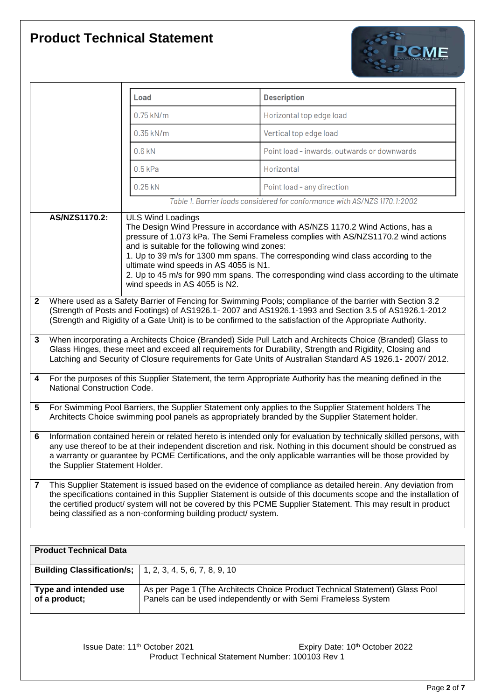

|                |                                                                                                                                                                                                                                                                                                                                                                                          |  | Load                                                                                                                                                 | <b>Description</b>                                                                                                                                                                                                                                                                                                                                  |  |
|----------------|------------------------------------------------------------------------------------------------------------------------------------------------------------------------------------------------------------------------------------------------------------------------------------------------------------------------------------------------------------------------------------------|--|------------------------------------------------------------------------------------------------------------------------------------------------------|-----------------------------------------------------------------------------------------------------------------------------------------------------------------------------------------------------------------------------------------------------------------------------------------------------------------------------------------------------|--|
|                |                                                                                                                                                                                                                                                                                                                                                                                          |  | $0.75$ kN/m                                                                                                                                          | Horizontal top edge load                                                                                                                                                                                                                                                                                                                            |  |
|                |                                                                                                                                                                                                                                                                                                                                                                                          |  | $0.35$ kN/m                                                                                                                                          | Vertical top edge load                                                                                                                                                                                                                                                                                                                              |  |
|                |                                                                                                                                                                                                                                                                                                                                                                                          |  | $0.6$ kN                                                                                                                                             | Point load - inwards, outwards or downwards                                                                                                                                                                                                                                                                                                         |  |
|                |                                                                                                                                                                                                                                                                                                                                                                                          |  | $0.5$ kPa                                                                                                                                            | Horizontal                                                                                                                                                                                                                                                                                                                                          |  |
|                |                                                                                                                                                                                                                                                                                                                                                                                          |  | $0.25$ kN                                                                                                                                            | Point load - any direction                                                                                                                                                                                                                                                                                                                          |  |
|                |                                                                                                                                                                                                                                                                                                                                                                                          |  |                                                                                                                                                      | Table 1. Barrier loads considered for conformance with AS/NZS 1170.1:2002                                                                                                                                                                                                                                                                           |  |
|                | AS/NZS1170.2:                                                                                                                                                                                                                                                                                                                                                                            |  | <b>ULS Wind Loadings</b><br>and is suitable for the following wind zones:<br>ultimate wind speeds in AS 4055 is N1.<br>wind speeds in AS 4055 is N2. | The Design Wind Pressure in accordance with AS/NZS 1170.2 Wind Actions, has a<br>pressure of 1.073 kPa. The Semi Frameless complies with AS/NZS1170.2 wind actions<br>1. Up to 39 m/s for 1300 mm spans. The corresponding wind class according to the<br>2. Up to 45 m/s for 990 mm spans. The corresponding wind class according to the ultimate  |  |
| $\mathbf{2}$   | Where used as a Safety Barrier of Fencing for Swimming Pools; compliance of the barrier with Section 3.2<br>(Strength of Posts and Footings) of AS1926.1- 2007 and AS1926.1-1993 and Section 3.5 of AS1926.1-2012<br>(Strength and Rigidity of a Gate Unit) is to be confirmed to the satisfaction of the Appropriate Authority.                                                         |  |                                                                                                                                                      |                                                                                                                                                                                                                                                                                                                                                     |  |
| 3              | When incorporating a Architects Choice (Branded) Side Pull Latch and Architects Choice (Branded) Glass to<br>Glass Hinges, these meet and exceed all requirements for Durability, Strength and Rigidity, Closing and<br>Latching and Security of Closure requirements for Gate Units of Australian Standard AS 1926.1-2007/2012.                                                         |  |                                                                                                                                                      |                                                                                                                                                                                                                                                                                                                                                     |  |
| 4              | National Construction Code.                                                                                                                                                                                                                                                                                                                                                              |  |                                                                                                                                                      | For the purposes of this Supplier Statement, the term Appropriate Authority has the meaning defined in the                                                                                                                                                                                                                                          |  |
| 5              | For Swimming Pool Barriers, the Supplier Statement only applies to the Supplier Statement holders The<br>Architects Choice swimming pool panels as appropriately branded by the Supplier Statement holder.                                                                                                                                                                               |  |                                                                                                                                                      |                                                                                                                                                                                                                                                                                                                                                     |  |
| 6              | Information contained herein or related hereto is intended only for evaluation by technically skilled persons, with<br>any use thereof to be at their independent discretion and risk. Nothing in this document should be construed as<br>a warranty or guarantee by PCME Certifications, and the only applicable warranties will be those provided by<br>the Supplier Statement Holder. |  |                                                                                                                                                      |                                                                                                                                                                                                                                                                                                                                                     |  |
| $\overline{7}$ |                                                                                                                                                                                                                                                                                                                                                                                          |  | being classified as a non-conforming building product/ system.                                                                                       | This Supplier Statement is issued based on the evidence of compliance as detailed herein. Any deviation from<br>the specifications contained in this Supplier Statement is outside of this documents scope and the installation of<br>the certified product/ system will not be covered by this PCME Supplier Statement. This may result in product |  |

| <b>Product Technical Data</b>                                     |                                                                                                                                                |
|-------------------------------------------------------------------|------------------------------------------------------------------------------------------------------------------------------------------------|
|                                                                   |                                                                                                                                                |
| <b>Building Classification/s;</b>   1, 2, 3, 4, 5, 6, 7, 8, 9, 10 |                                                                                                                                                |
| Type and intended use<br>of a product;                            | As per Page 1 (The Architects Choice Product Technical Statement) Glass Pool<br>Panels can be used independently or with Semi Frameless System |

Issue Date: 11<sup>th</sup> October 2021 **Expiry Date: 10<sup>th</sup> October 2022** Product Technical Statement Number: 100103 Rev 1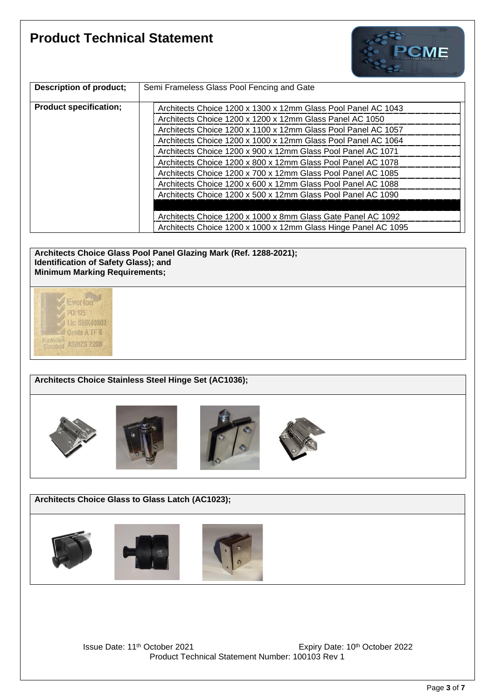

| Description of product;       | Semi Frameless Glass Pool Fencing and Gate                     |
|-------------------------------|----------------------------------------------------------------|
| <b>Product specification;</b> | Architects Choice 1200 x 1300 x 12mm Glass Pool Panel AC 1043  |
|                               | Architects Choice 1200 x 1200 x 12mm Glass Panel AC 1050       |
|                               | Architects Choice 1200 x 1100 x 12mm Glass Pool Panel AC 1057  |
|                               | Architects Choice 1200 x 1000 x 12mm Glass Pool Panel AC 1064  |
|                               | Architects Choice 1200 x 900 x 12mm Glass Pool Panel AC 1071   |
|                               | Architects Choice 1200 x 800 x 12mm Glass Pool Panel AC 1078   |
|                               | Architects Choice 1200 x 700 x 12mm Glass Pool Panel AC 1085   |
|                               | Architects Choice 1200 x 600 x 12mm Glass Pool Panel AC 1088   |
|                               | Architects Choice 1200 x 500 x 12mm Glass Pool Panel AC 1090   |
|                               |                                                                |
|                               | Architects Choice 1200 x 1000 x 8mm Glass Gate Panel AC 1092   |
|                               | Architects Choice 1200 x 1000 x 12mm Glass Hinge Panel AC 1095 |

**Architects Choice Glass Pool Panel Glazing Mark (Ref. 1288-2021); Identification of Safety Glass); and Minimum Marking Requirements;**



#### **Architects Choice Stainless Steel Hinge Set (AC1036);**









**Architects Choice Glass to Glass Latch (AC1023);**



Issue Date: 11<sup>th</sup> October 2021 **Expiry Date: 10<sup>th</sup> October 2022** Product Technical Statement Number: 100103 Rev 1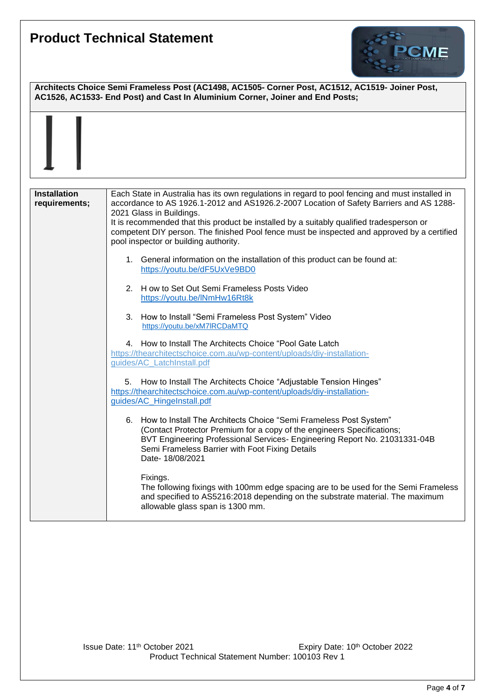

**Architects Choice Semi Frameless Post (AC1498, AC1505- Corner Post, AC1512, AC1519- Joiner Post, AC1526, AC1533- End Post) and Cast In Aluminium Corner, Joiner and End Posts; Installation requirements;** Each State in Australia has its own regulations in regard to pool fencing and must installed in accordance to AS 1926.1-2012 and AS1926.2-2007 Location of Safety Barriers and AS 1288- 2021 Glass in Buildings. It is recommended that this product be installed by a suitably qualified tradesperson or competent DIY person. The finished Pool fence must be inspected and approved by a certified pool inspector or building authority. 1. General information on the installation of this product can be found at: <https://youtu.be/dF5UxVe9BD0> 2. H ow to Set Out Semi Frameless Posts Video <https://youtu.be/lNmHw16Rt8k> 3. How to Install "Semi Frameless Post System" Video <https://youtu.be/xM7lRCDaMTQ> 4. How to Install The Architects Choice "Pool Gate Latch [https://thearchitectschoice.com.au/wp-content/uploads/diy-installation](https://thearchitectschoice.com.au/wp-content/uploads/diy-installation-%20%20%20%20%20%20%20%20%20%20guides/AC_LatchInstall.pdf)[guides/AC\\_LatchInstall.pdf](https://thearchitectschoice.com.au/wp-content/uploads/diy-installation-%20%20%20%20%20%20%20%20%20%20guides/AC_LatchInstall.pdf) 5. How to Install The Architects Choice "Adjustable Tension Hinges" [https://thearchitectschoice.com.au/wp-content/uploads/diy-installation](https://thearchitectschoice.com.au/wp-content/uploads/diy-installation-guides/AC_HingeInstall.pdf)[guides/AC\\_HingeInstall.pdf](https://thearchitectschoice.com.au/wp-content/uploads/diy-installation-guides/AC_HingeInstall.pdf) 6. How to Install The Architects Choice "Semi Frameless Post System" (Contact Protector Premium for a copy of the engineers Specifications; BVT Engineering Professional Services- Engineering Report No. 21031331-04B Semi Frameless Barrier with Foot Fixing Details Date- 18/08/2021 Fixings. The following fixings with 100mm edge spacing are to be used for the Semi Frameless and specified to AS5216:2018 depending on the substrate material. The maximum allowable glass span is 1300 mm.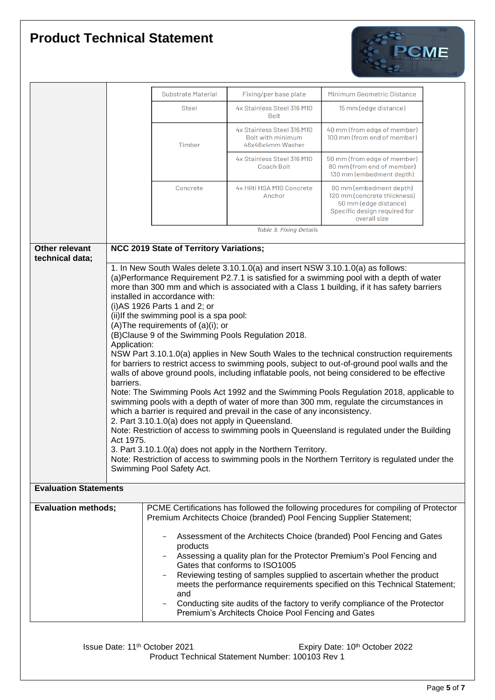

|                              |                                                                                                                                                                                              | <b>Substrate Material</b>                                                         | Fixing/per base plate                                                           | Minimum Geometric Distance                                                                                                      |  |
|------------------------------|----------------------------------------------------------------------------------------------------------------------------------------------------------------------------------------------|-----------------------------------------------------------------------------------|---------------------------------------------------------------------------------|---------------------------------------------------------------------------------------------------------------------------------|--|
|                              |                                                                                                                                                                                              | <b>Steel</b>                                                                      | 4x Stainless Steel 316 M10<br><b>Bolt</b>                                       | 15 mm (edge distance)                                                                                                           |  |
|                              |                                                                                                                                                                                              | Timber                                                                            | 4x Stainless Steel 316 M10<br>Bolt with minimum<br>46x46x4mm Washer             | 40 mm (from edge of member)<br>100 mm (from end of member)                                                                      |  |
|                              |                                                                                                                                                                                              |                                                                                   | 4x Stainless Steel 316 M10<br><b>Coach Bolt</b>                                 | 50 mm (from edge of member)<br>80 mm (from end of member)<br>130 mm (embedment depth)                                           |  |
|                              |                                                                                                                                                                                              | Concrete                                                                          | 4x Hilti HSA M10 Concrete<br>Anchor                                             | 80 mm (embedment depth)<br>120 mm (concrete thickness)<br>50 mm (edge distance)<br>Specific design required for<br>overall size |  |
|                              |                                                                                                                                                                                              |                                                                                   | Table 3. Fixing Details                                                         |                                                                                                                                 |  |
| Other relevant               |                                                                                                                                                                                              | NCC 2019 State of Territory Variations;                                           |                                                                                 |                                                                                                                                 |  |
| technical data;              |                                                                                                                                                                                              |                                                                                   |                                                                                 |                                                                                                                                 |  |
|                              |                                                                                                                                                                                              |                                                                                   | 1. In New South Wales delete 3.10.1.0(a) and insert NSW 3.10.1.0(a) as follows: | (a)Performance Requirement P2.7.1 is satisfied for a swimming pool with a depth of water                                        |  |
|                              |                                                                                                                                                                                              |                                                                                   |                                                                                 | more than 300 mm and which is associated with a Class 1 building, if it has safety barriers                                     |  |
|                              |                                                                                                                                                                                              | installed in accordance with:                                                     |                                                                                 |                                                                                                                                 |  |
|                              |                                                                                                                                                                                              | (i) AS 1926 Parts 1 and 2; or<br>(ii) If the swimming pool is a spa pool:         |                                                                                 |                                                                                                                                 |  |
|                              |                                                                                                                                                                                              | (A) The requirements of (a)(i); or                                                |                                                                                 |                                                                                                                                 |  |
|                              |                                                                                                                                                                                              |                                                                                   | (B)Clause 9 of the Swimming Pools Regulation 2018.                              |                                                                                                                                 |  |
|                              | Application:                                                                                                                                                                                 |                                                                                   |                                                                                 |                                                                                                                                 |  |
|                              | NSW Part 3.10.1.0(a) applies in New South Wales to the technical construction requirements<br>for barriers to restrict access to swimming pools, subject to out-of-ground pool walls and the |                                                                                   |                                                                                 |                                                                                                                                 |  |
|                              | walls of above ground pools, including inflatable pools, not being considered to be effective                                                                                                |                                                                                   |                                                                                 |                                                                                                                                 |  |
|                              | barriers.                                                                                                                                                                                    |                                                                                   |                                                                                 |                                                                                                                                 |  |
|                              | Note: The Swimming Pools Act 1992 and the Swimming Pools Regulation 2018, applicable to                                                                                                      |                                                                                   |                                                                                 |                                                                                                                                 |  |
|                              | swimming pools with a depth of water of more than 300 mm, regulate the circumstances in<br>which a barrier is required and prevail in the case of any inconsistency.                         |                                                                                   |                                                                                 |                                                                                                                                 |  |
|                              | 2. Part 3.10.1.0(a) does not apply in Queensland.                                                                                                                                            |                                                                                   |                                                                                 |                                                                                                                                 |  |
|                              |                                                                                                                                                                                              |                                                                                   |                                                                                 | Note: Restriction of access to swimming pools in Queensland is regulated under the Building                                     |  |
|                              | Act 1975.                                                                                                                                                                                    |                                                                                   | 3. Part 3.10.1.0(a) does not apply in the Northern Territory.                   |                                                                                                                                 |  |
|                              |                                                                                                                                                                                              |                                                                                   |                                                                                 | Note: Restriction of access to swimming pools in the Northern Territory is regulated under the                                  |  |
|                              |                                                                                                                                                                                              | Swimming Pool Safety Act.                                                         |                                                                                 |                                                                                                                                 |  |
| <b>Evaluation Statements</b> |                                                                                                                                                                                              |                                                                                   |                                                                                 |                                                                                                                                 |  |
| <b>Evaluation methods;</b>   |                                                                                                                                                                                              |                                                                                   |                                                                                 | PCME Certifications has followed the following procedures for compiling of Protector                                            |  |
|                              |                                                                                                                                                                                              |                                                                                   | Premium Architects Choice (branded) Pool Fencing Supplier Statement;            |                                                                                                                                 |  |
|                              |                                                                                                                                                                                              |                                                                                   |                                                                                 | Assessment of the Architects Choice (branded) Pool Fencing and Gates                                                            |  |
|                              |                                                                                                                                                                                              | products<br>Assessing a quality plan for the Protector Premium's Pool Fencing and |                                                                                 |                                                                                                                                 |  |
|                              |                                                                                                                                                                                              |                                                                                   | Gates that conforms to ISO1005                                                  | Reviewing testing of samples supplied to ascertain whether the product                                                          |  |
|                              |                                                                                                                                                                                              |                                                                                   |                                                                                 | meets the performance requirements specified on this Technical Statement;                                                       |  |
|                              |                                                                                                                                                                                              | and                                                                               |                                                                                 |                                                                                                                                 |  |
|                              |                                                                                                                                                                                              |                                                                                   | Premium's Architects Choice Pool Fencing and Gates                              | Conducting site audits of the factory to verify compliance of the Protector                                                     |  |

Issue Date: 11<sup>th</sup> October 2021 **Expiry Date: 10th October 2022** Product Technical Statement Number: 100103 Rev 1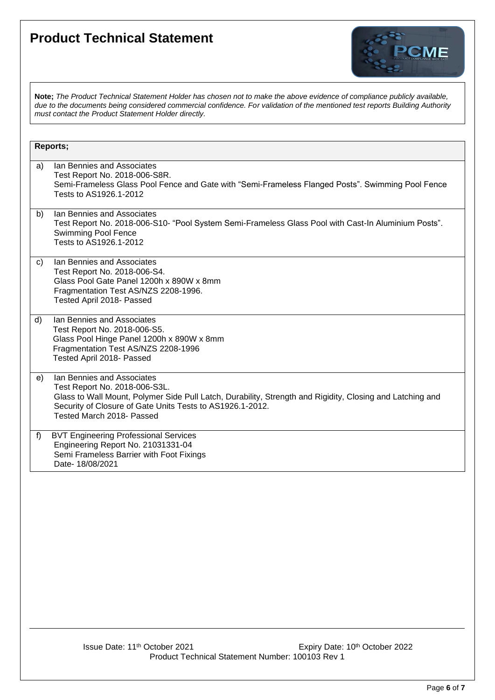

**Note;** *The Product Technical Statement Holder has chosen not to make the above evidence of compliance publicly available, due to the documents being considered commercial confidence. For validation of the mentioned test reports Building Authority must contact the Product Statement Holder directly.*

|    | Reports;                                                                                                                                                                                                                                                           |
|----|--------------------------------------------------------------------------------------------------------------------------------------------------------------------------------------------------------------------------------------------------------------------|
| a) | Ian Bennies and Associates<br>Test Report No. 2018-006-S8R.<br>Semi-Frameless Glass Pool Fence and Gate with "Semi-Frameless Flanged Posts". Swimming Pool Fence<br>Tests to AS1926.1-2012                                                                         |
| b) | Ian Bennies and Associates<br>Test Report No. 2018-006-S10- "Pool System Semi-Frameless Glass Pool with Cast-In Aluminium Posts".<br><b>Swimming Pool Fence</b><br>Tests to AS1926.1-2012                                                                          |
| C) | Ian Bennies and Associates<br>Test Report No. 2018-006-S4.<br>Glass Pool Gate Panel 1200h x 890W x 8mm<br>Fragmentation Test AS/NZS 2208-1996.<br>Tested April 2018- Passed                                                                                        |
| d) | Ian Bennies and Associates<br>Test Report No. 2018-006-S5.<br>Glass Pool Hinge Panel 1200h x 890W x 8mm<br>Fragmentation Test AS/NZS 2208-1996<br>Tested April 2018- Passed                                                                                        |
| e) | Ian Bennies and Associates<br>Test Report No. 2018-006-S3L.<br>Glass to Wall Mount, Polymer Side Pull Latch, Durability, Strength and Rigidity, Closing and Latching and<br>Security of Closure of Gate Units Tests to AS1926.1-2012.<br>Tested March 2018- Passed |
| f) | <b>BVT Engineering Professional Services</b><br>Engineering Report No. 21031331-04<br>Semi Frameless Barrier with Foot Fixings<br>Date-18/08/2021                                                                                                                  |